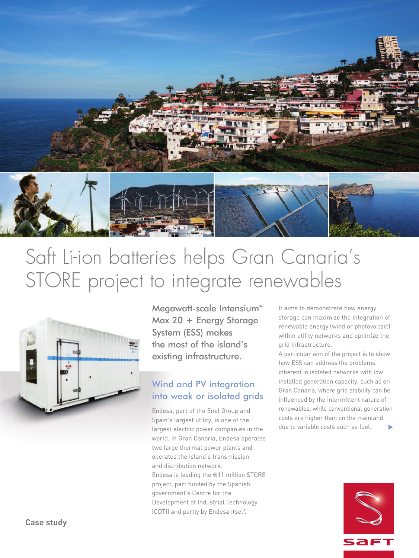

# Saft Li-ion batteries helps Gran Canaria ' s STORE project to integrate renewables



Megawatt-scale Intensium® Max 20 + Energy Storage System (ESS) makes the most of the island's existing infrastructure.

#### Wind and PV integration into weak or isolated grids

Endesa, part of the Enel Group and Spain's largest utility, is one of the largest electric power companies in the world. In Gran Canaria, Endesa operates two large thermal power plants and operates the island's transmission and distribution network. Endesa is leading the €11 million STORE project, part funded by the Spanish government's Centre for the Development of Industrial Technology (CDTI) and partly by Endesa itself.

It aims to demonstrate how energy storage can maximize the integration of renewable energy (wind or photovoltaic) within utility networks and optimize the grid infrastructure.

A particular aim of the project is to show how ESS can address the problems inherent in isolated networks with low installed generation capacity, such as on Gran Canaria, where grid stability can be influenced by the intermittent nature of renewables, while conventional generation costs are higher than on the mainland due to variable costs such as fuel. **▼**